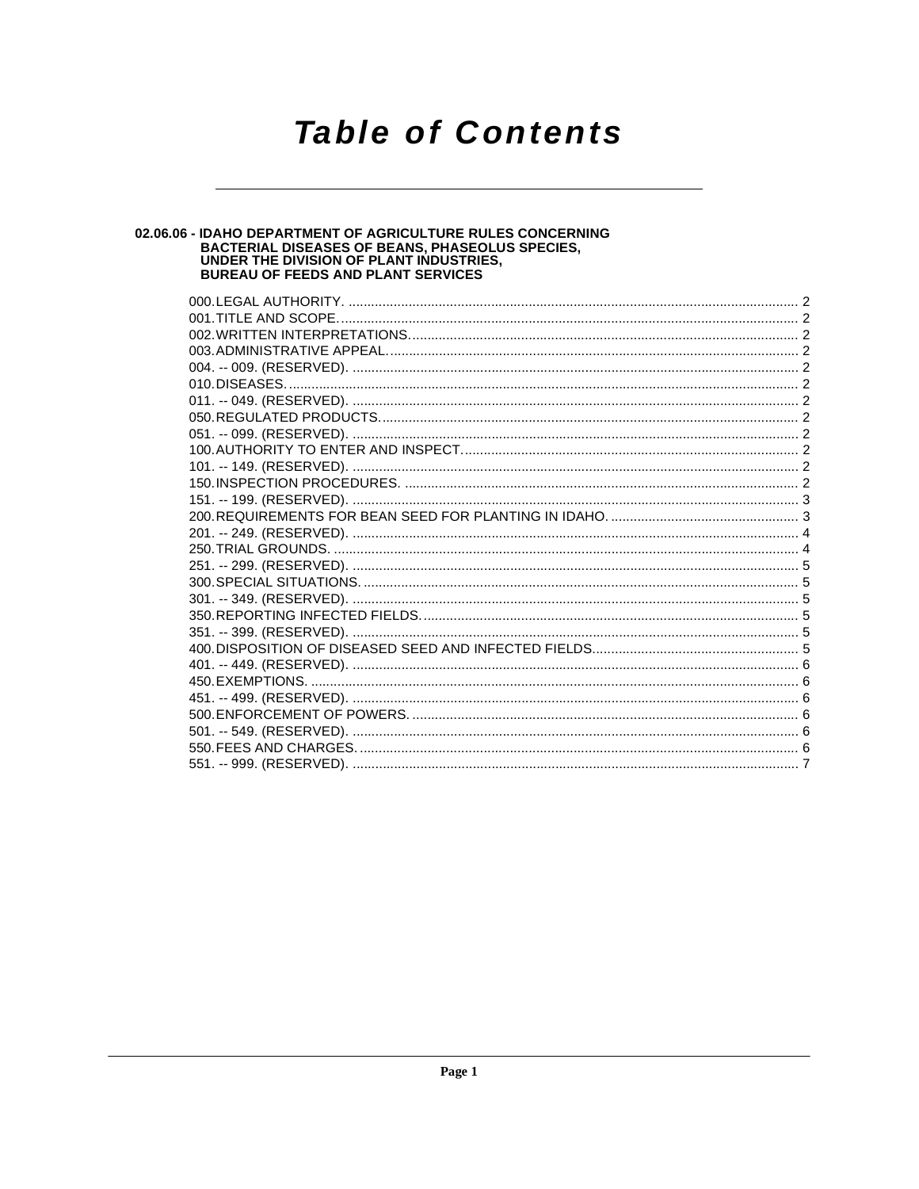## **Table of Contents**

# **02.06.06 - IDAHO DEPARTMENT OF AGRICULTURE RULES CONCERNING<br>BACTERIAL DISEASES OF BEANS, PHASEOLUS SPECIES,<br>UNDER THE DIVISION OF PLANT INDUSTRIES,<br>BUREAU OF FEEDS AND PLANT SERVICES**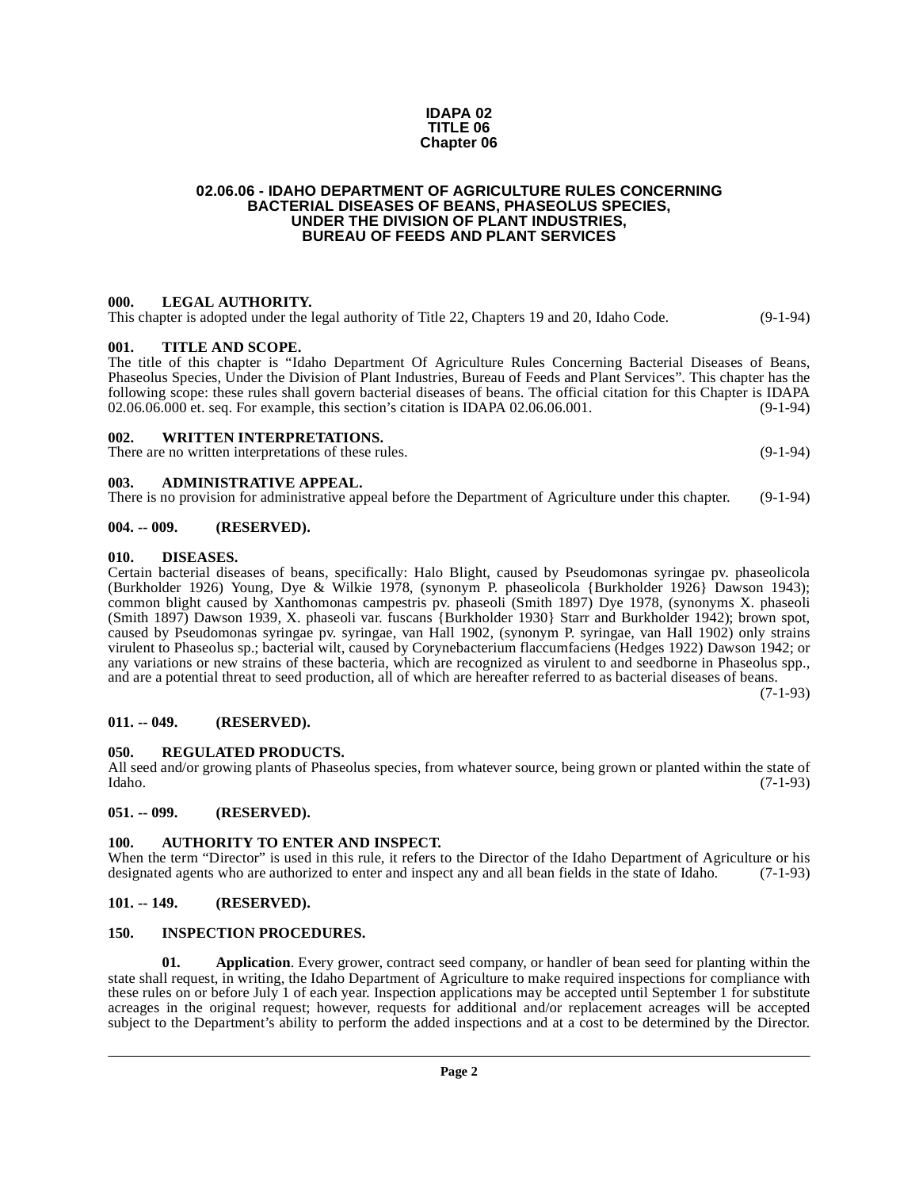#### **IDAPA 02 TITLE 06 Chapter 06**

#### <span id="page-1-0"></span>**02.06.06 - IDAHO DEPARTMENT OF AGRICULTURE RULES CONCERNING BACTERIAL DISEASES OF BEANS, PHASEOLUS SPECIES, UNDER THE DIVISION OF PLANT INDUSTRIES, BUREAU OF FEEDS AND PLANT SERVICES**

#### <span id="page-1-1"></span>**000. LEGAL AUTHORITY.**

This chapter is adopted under the legal authority of Title 22, Chapters 19 and 20, Idaho Code. (9-1-94)

#### <span id="page-1-2"></span>**001. TITLE AND SCOPE.**

The title of this chapter is "Idaho Department Of Agriculture Rules Concerning Bacterial Diseases of Beans, Phaseolus Species, Under the Division of Plant Industries, Bureau of Feeds and Plant Services". This chapter has the following scope: these rules shall govern bacterial diseases of beans. The official citation for this Chapter is IDAPA 02.06.06.000 et. seq. For example, this section's citation is IDAPA 02.06.06.001. (9-1-94)

#### <span id="page-1-3"></span>**002. WRITTEN INTERPRETATIONS.**

There are no written interpretations of these rules. (9-1-94)

#### <span id="page-1-4"></span>**003. ADMINISTRATIVE APPEAL.**

There is no provision for administrative appeal before the Department of Agriculture under this chapter. (9-1-94)

#### <span id="page-1-5"></span>**004. -- 009. (RESERVED).**

#### <span id="page-1-15"></span><span id="page-1-6"></span>**010. DISEASES.**

Certain bacterial diseases of beans, specifically: Halo Blight, caused by Pseudomonas syringae pv. phaseolicola (Burkholder 1926) Young, Dye & Wilkie 1978, (synonym P. phaseolicola {Burkholder 1926} Dawson 1943); common blight caused by Xanthomonas campestris pv. phaseoli (Smith 1897) Dye 1978, (synonyms X. phaseoli (Smith 1897) Dawson 1939, X. phaseoli var. fuscans {Burkholder 1930} Starr and Burkholder 1942); brown spot, caused by Pseudomonas syringae pv. syringae, van Hall 1902, (synonym P. syringae, van Hall 1902) only strains virulent to Phaseolus sp.; bacterial wilt, caused by Corynebacterium flaccumfaciens (Hedges 1922) Dawson 1942; or any variations or new strains of these bacteria, which are recognized as virulent to and seedborne in Phaseolus spp., and are a potential threat to seed production, all of which are hereafter referred to as bacterial diseases of beans.

(7-1-93)

#### <span id="page-1-7"></span>**011. -- 049. (RESERVED).**

#### <span id="page-1-17"></span><span id="page-1-8"></span>**050. REGULATED PRODUCTS.**

All seed and/or growing plants of Phaseolus species, from whatever source, being grown or planted within the state of Idaho. (7-1-93)

<span id="page-1-9"></span>**051. -- 099. (RESERVED).**

#### <span id="page-1-14"></span><span id="page-1-10"></span>**100. AUTHORITY TO ENTER AND INSPECT.**

When the term "Director" is used in this rule, it refers to the Director of the Idaho Department of Agriculture or his designated agents who are authorized to enter and inspect any and all bean fields in the state of Idaho. (7-1-93)

#### <span id="page-1-11"></span>**101. -- 149. (RESERVED).**

#### <span id="page-1-16"></span><span id="page-1-12"></span>**150. INSPECTION PROCEDURES.**

<span id="page-1-13"></span>**01. Application**. Every grower, contract seed company, or handler of bean seed for planting within the state shall request, in writing, the Idaho Department of Agriculture to make required inspections for compliance with these rules on or before July 1 of each year. Inspection applications may be accepted until September 1 for substitute acreages in the original request; however, requests for additional and/or replacement acreages will be accepted subject to the Department's ability to perform the added inspections and at a cost to be determined by the Director.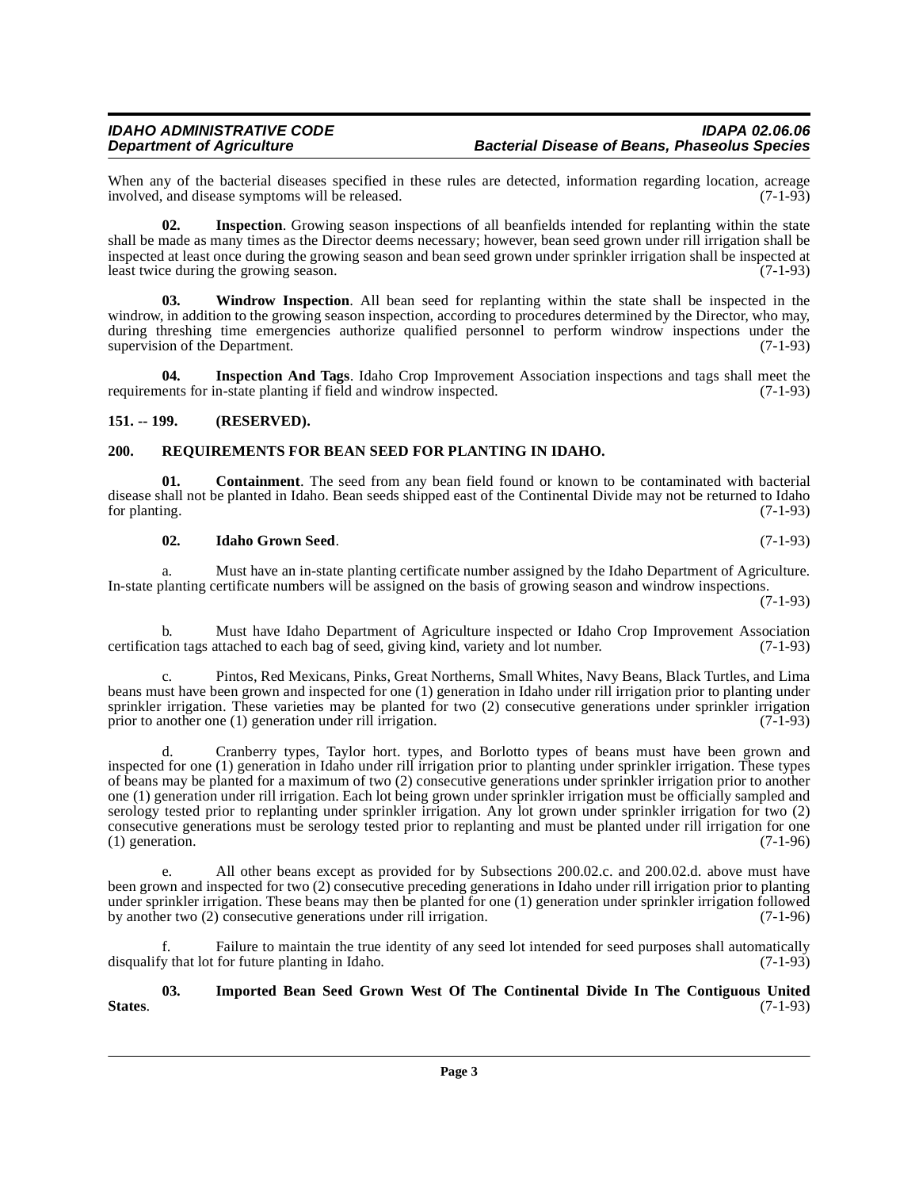When any of the bacterial diseases specified in these rules are detected, information regarding location, acreage involved, and disease symptoms will be released. (7-1-93) involved, and disease symptoms will be released.

<span id="page-2-6"></span>**02. Inspection**. Growing season inspections of all beanfields intended for replanting within the state shall be made as many times as the Director deems necessary; however, bean seed grown under rill irrigation shall be inspected at least once during the growing season and bean seed grown under sprinkler irrigation shall be inspected at least twice during the growing season.

<span id="page-2-8"></span>**03. Windrow Inspection**. All bean seed for replanting within the state shall be inspected in the windrow, in addition to the growing season inspection, according to procedures determined by the Director, who may, during threshing time emergencies authorize qualified personnel to perform windrow inspections under the supervision of the Department. (7-1-93)

<span id="page-2-5"></span>**04. Inspection And Tags**. Idaho Crop Improvement Association inspections and tags shall meet the requirements for in-state planting if field and windrow inspected. (7-1-93)

#### <span id="page-2-0"></span>**151. -- 199. (RESERVED).**

#### <span id="page-2-7"></span><span id="page-2-1"></span>**200. REQUIREMENTS FOR BEAN SEED FOR PLANTING IN IDAHO.**

**01. Containment**. The seed from any bean field found or known to be contaminated with bacterial disease shall not be planted in Idaho. Bean seeds shipped east of the Continental Divide may not be returned to Idaho for planting. (7-1-93) for planting. (7-1-93)

#### <span id="page-2-3"></span><span id="page-2-2"></span>**02. Idaho Grown Seed**. (7-1-93)

a. Must have an in-state planting certificate number assigned by the Idaho Department of Agriculture. In-state planting certificate numbers will be assigned on the basis of growing season and windrow inspections.

(7-1-93)

b. Must have Idaho Department of Agriculture inspected or Idaho Crop Improvement Association certification tags attached to each bag of seed, giving kind, variety and lot number. (7-1-93)

c. Pintos, Red Mexicans, Pinks, Great Northerns, Small Whites, Navy Beans, Black Turtles, and Lima beans must have been grown and inspected for one (1) generation in Idaho under rill irrigation prior to planting under sprinkler irrigation. These varieties may be planted for two (2) consecutive generations under sprinkler irrigation prior to another one (1) generation under rill irrigation. (7-1-93)

Cranberry types, Taylor hort. types, and Borlotto types of beans must have been grown and inspected for one (1) generation in Idaho under rill irrigation prior to planting under sprinkler irrigation. These types of beans may be planted for a maximum of two (2) consecutive generations under sprinkler irrigation prior to another one (1) generation under rill irrigation. Each lot being grown under sprinkler irrigation must be officially sampled and serology tested prior to replanting under sprinkler irrigation. Any lot grown under sprinkler irrigation for two (2) consecutive generations must be serology tested prior to replanting and must be planted under rill irrigation for one (1) generation.  $(1)$  generation.

e. All other beans except as provided for by Subsections 200.02.c. and 200.02.d. above must have been grown and inspected for two (2) consecutive preceding generations in Idaho under rill irrigation prior to planting under sprinkler irrigation. These beans may then be planted for one (1) generation under sprinkler irrigation followed<br>by another two (2) consecutive generations under rill irrigation. (7-1-96) by another two  $(2)$  consecutive generations under rill irrigation.

Failure to maintain the true identity of any seed lot intended for seed purposes shall automatically disqualify that lot for future planting in Idaho. (7-1-93)

<span id="page-2-4"></span>**03. Imported Bean Seed Grown West Of The Continental Divide In The Contiguous United States**. (7-1-93)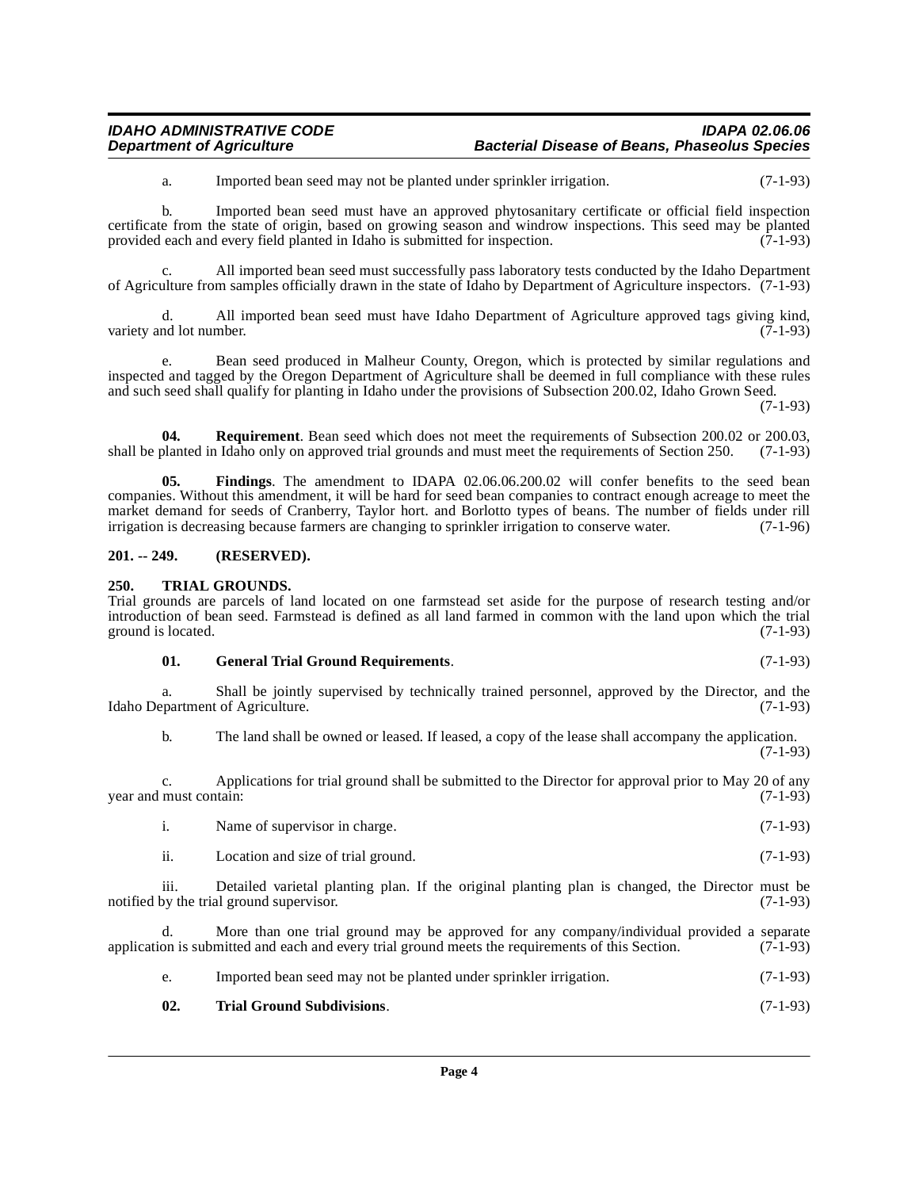| <b>IDAHO ADMINISTRATIVE CODE</b> | IDAPA 02.06.06                                       |
|----------------------------------|------------------------------------------------------|
| <b>Department of Agriculture</b> | <b>Bacterial Disease of Beans, Phaseolus Species</b> |

a. Imported bean seed may not be planted under sprinkler irrigation. (7-1-93)

b. Imported bean seed must have an approved phytosanitary certificate or official field inspection certificate from the state of origin, based on growing season and windrow inspections. This seed may be planted provided each and every field planted in Idaho is submitted for inspection. (7-1-93)

All imported bean seed must successfully pass laboratory tests conducted by the Idaho Department of Agriculture from samples officially drawn in the state of Idaho by Department of Agriculture inspectors. (7-1-93)

d. All imported bean seed must have Idaho Department of Agriculture approved tags giving kind, variety and lot number.  $(7-1-93)$ 

e. Bean seed produced in Malheur County, Oregon, which is protected by similar regulations and inspected and tagged by the Oregon Department of Agriculture shall be deemed in full compliance with these rules and such seed shall qualify for planting in Idaho under the provisions of Subsection 200.02, Idaho Grown Seed.

(7-1-93)

(7-1-93)

**04. Requirement**. Bean seed which does not meet the requirements of Subsection 200.02 or 200.03, shall be planted in Idaho only on approved trial grounds and must meet the requirements of Section 250. (7-1-93)

<span id="page-3-2"></span>**05. Findings**. The amendment to IDAPA 02.06.06.200.02 will confer benefits to the seed bean companies. Without this amendment, it will be hard for seed bean companies to contract enough acreage to meet the market demand for seeds of Cranberry, Taylor hort. and Borlotto types of beans. The number of fields under rill irrigation is decreasing because farmers are changing to sprinkler irrigation to conserve water. (7-1-96)

#### <span id="page-3-0"></span>**201. -- 249. (RESERVED).**

#### <span id="page-3-5"></span><span id="page-3-1"></span>**250. TRIAL GROUNDS.**

Trial grounds are parcels of land located on one farmstead set aside for the purpose of research testing and/or introduction of bean seed. Farmstead is defined as all land farmed in common with the land upon which the trial ground is located.

#### <span id="page-3-3"></span>**01. General Trial Ground Requirements**. (7-1-93)

a. Shall be jointly supervised by technically trained personnel, approved by the Director, and the partment of Agriculture. (7-1-93) Idaho Department of Agriculture.

b. The land shall be owned or leased. If leased, a copy of the lease shall accompany the application.

c. Applications for trial ground shall be submitted to the Director for approval prior to May 20 of any year and must contain:

i. Name of supervisor in charge. (7-1-93)

ii. Location and size of trial ground. (7-1-93)

iii. Detailed varietal planting plan. If the original planting plan is changed, the Director must be notified by the trial ground supervisor. (7-1-93)

d. More than one trial ground may be approved for any company/individual provided a separate application is submitted and each and every trial ground meets the requirements of this Section. (7-1-93)

- <span id="page-3-4"></span>e. Imported bean seed may not be planted under sprinkler irrigation. (7-1-93)
- **02. Trial Ground Subdivisions**. (7-1-93)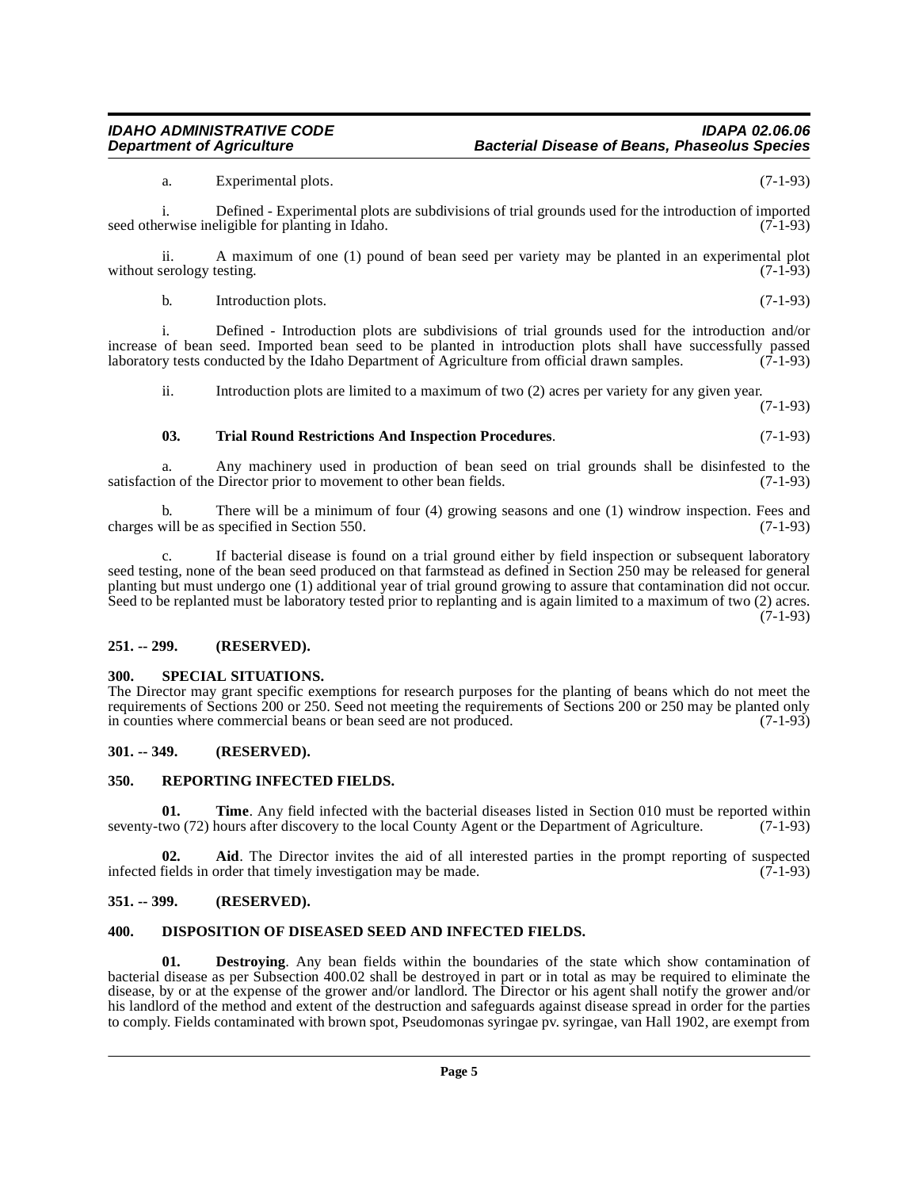### i. Defined - Introduction plots are subdivisions of trial grounds used for the introduction and/or increase of bean seed. Imported bean seed to be planted in introduction plots shall have successfully passed laboratory tests conducted by the Idaho Department of Agriculture from official drawn samples. (7-1-93)

seed otherwise ineligible for planting in Idaho.

without serology testing.

ii. Introduction plots are limited to a maximum of two (2) acres per variety for any given year.

a. Experimental plots. (7-1-93)

ii. A maximum of one (1) pound of bean seed per variety may be planted in an experimental plot serology testing. (7-1-93)

(7-1-93)

#### <span id="page-4-9"></span>**03. Trial Round Restrictions And Inspection Procedures**. (7-1-93)

laboratory tests conducted by the Idaho Department of Agriculture from official drawn samples.

a. Any machinery used in production of bean seed on trial grounds shall be disinfested to the on of the Director prior to movement to other bean fields. (7-1-93) satisfaction of the Director prior to movement to other bean fields.

b. There will be a minimum of four (4) growing seasons and one (1) windrow inspection. Fees and will be as specified in Section 550. (7-1-93) charges will be as specified in Section 550.

c. If bacterial disease is found on a trial ground either by field inspection or subsequent laboratory seed testing, none of the bean seed produced on that farmstead as defined in Section 250 may be released for general planting but must undergo one (1) additional year of trial ground growing to assure that contamination did not occur. Seed to be replanted must be laboratory tested prior to replanting and is again limited to a maximum of two (2) acres.  $(7-1-93)$ 

#### <span id="page-4-0"></span>**251. -- 299. (RESERVED).**

#### <span id="page-4-8"></span><span id="page-4-1"></span>**300. SPECIAL SITUATIONS.**

The Director may grant specific exemptions for research purposes for the planting of beans which do not meet the requirements of Sections 200 or 250. Seed not meeting the requirements of Sections 200 or 250 may be planted only<br>in counties where commercial beans or bean seed are not produced. (7-1-93) in counties where commercial beans or bean seed are not produced.

#### <span id="page-4-2"></span>**301. -- 349. (RESERVED).**

#### <span id="page-4-7"></span><span id="page-4-3"></span>**350. REPORTING INFECTED FIELDS.**

**01. Time**. Any field infected with the bacterial diseases listed in Section 010 must be reported within two (72) hours after discovery to the local County Agent or the Department of Agriculture. (7-1-93) seventy-two (72) hours after discovery to the local County Agent or the Department of Agriculture.

**02. Aid**. The Director invites the aid of all interested parties in the prompt reporting of suspected infected fields in order that timely investigation may be made. (7-1-93)

#### <span id="page-4-4"></span>**351. -- 399. (RESERVED).**

#### <span id="page-4-6"></span><span id="page-4-5"></span>**400. DISPOSITION OF DISEASED SEED AND INFECTED FIELDS.**

**01. Destroying**. Any bean fields within the boundaries of the state which show contamination of bacterial disease as per Subsection 400.02 shall be destroyed in part or in total as may be required to eliminate the disease, by or at the expense of the grower and/or landlord. The Director or his agent shall notify the grower and/or his landlord of the method and extent of the destruction and safeguards against disease spread in order for the parties to comply. Fields contaminated with brown spot, Pseudomonas syringae pv. syringae, van Hall 1902, are exempt from

## **IDAHO ADMINISTRATIVE CODE IDAPA 02.06.06**

i. Defined - Experimental plots are subdivisions of trial grounds used for the introduction of imported

b. Introduction plots. (7-1-93)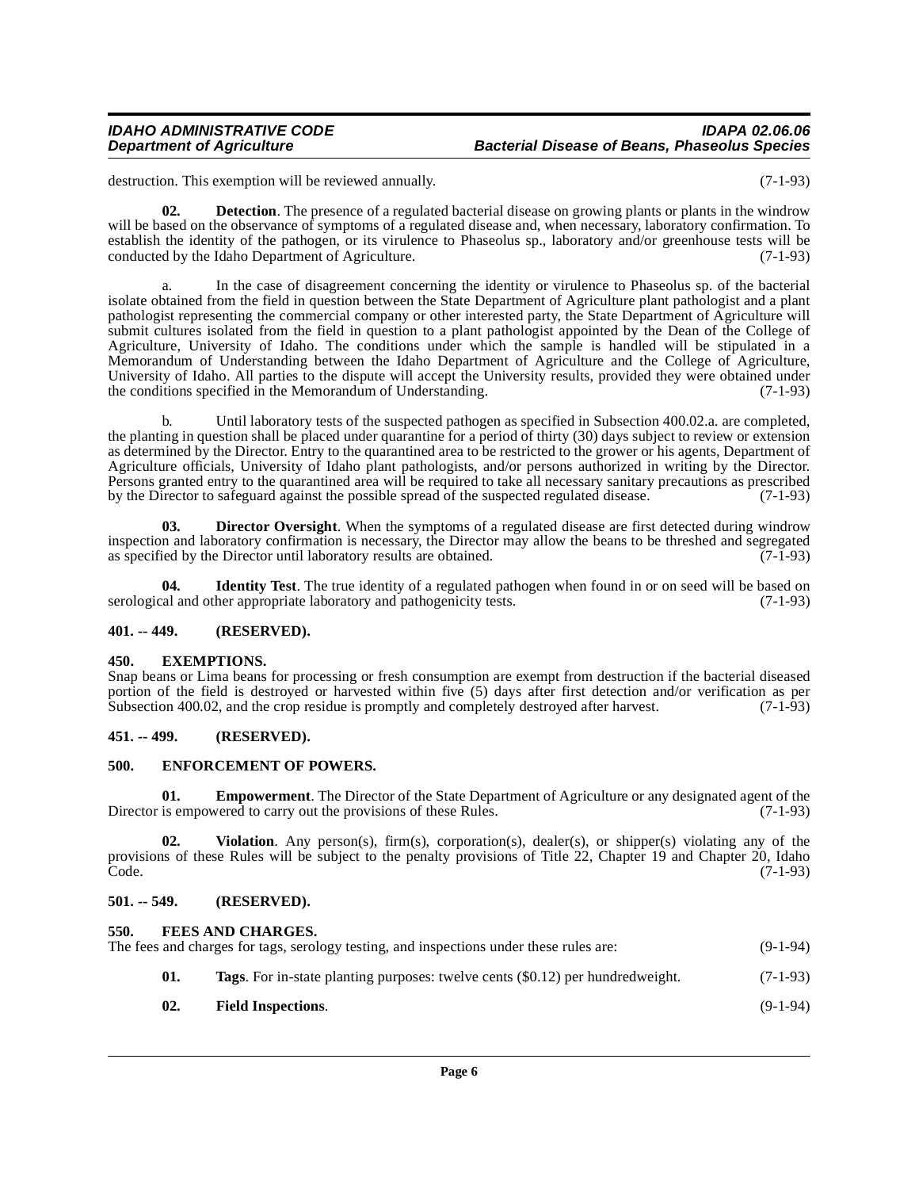destruction. This exemption will be reviewed annually. (7-1-93)

**02. Detection**. The presence of a regulated bacterial disease on growing plants or plants in the windrow will be based on the observance of symptoms of a regulated disease and, when necessary, laboratory confirmation. To establish the identity of the pathogen, or its virulence to Phaseolus sp., laboratory and/or greenhouse tests will be conducted by the Idaho Department of Agriculture. (7-1-93)

a. In the case of disagreement concerning the identity or virulence to Phaseolus sp. of the bacterial isolate obtained from the field in question between the State Department of Agriculture plant pathologist and a plant pathologist representing the commercial company or other interested party, the State Department of Agriculture will submit cultures isolated from the field in question to a plant pathologist appointed by the Dean of the College of Agriculture, University of Idaho. The conditions under which the sample is handled will be stipulated in a Memorandum of Understanding between the Idaho Department of Agriculture and the College of Agriculture, University of Idaho. All parties to the dispute will accept the University results, provided they were obtained under the conditions specified in the Memorandum of Understanding. (7-1-93)

b. Until laboratory tests of the suspected pathogen as specified in Subsection 400.02.a. are completed, the planting in question shall be placed under quarantine for a period of thirty (30) days subject to review or extension as determined by the Director. Entry to the quarantined area to be restricted to the grower or his agents, Department of Agriculture officials, University of Idaho plant pathologists, and/or persons authorized in writing by the Director. Persons granted entry to the quarantined area will be required to take all necessary sanitary precautions as prescribed<br>by the Director to safeguard against the possible spread of the suspected regulated disease. (7-1-93) by the Director to safeguard against the possible spread of the suspected regulated disease.

<span id="page-5-6"></span>**03. Director Oversight**. When the symptoms of a regulated disease are first detected during windrow inspection and laboratory confirmation is necessary, the Director may allow the beans to be threshed and segregated as specified by the Director until laboratory results are obtained. (7-1-93) as specified by the Director until laboratory results are obtained.

<span id="page-5-11"></span>**04. Identity Test**. The true identity of a regulated pathogen when found in or on seed will be based on serological and other appropriate laboratory and pathogenicity tests. (7-1-93)

#### <span id="page-5-0"></span>**401. -- 449. (RESERVED).**

#### <span id="page-5-8"></span><span id="page-5-1"></span>**450. EXEMPTIONS.**

Snap beans or Lima beans for processing or fresh consumption are exempt from destruction if the bacterial diseased portion of the field is destroyed or harvested within five (5) days after first detection and/or verification as per<br>Subsection 400.02, and the crop residue is promptly and completely destroyed after harvest. (7-1-93) Subsection 400.02, and the crop residue is promptly and completely destroyed after harvest.

#### <span id="page-5-2"></span>**451. -- 499. (RESERVED).**

#### <span id="page-5-7"></span><span id="page-5-3"></span>**500. ENFORCEMENT OF POWERS.**

**01. Empowerment**. The Director of the State Department of Agriculture or any designated agent of the Director is empowered to carry out the provisions of these Rules. (7-1-93)

**02. Violation**. Any person(s), firm(s), corporation(s), dealer(s), or shipper(s) violating any of the provisions of these Rules will be subject to the penalty provisions of Title 22, Chapter 19 and Chapter 20, Idaho  $\text{Code.}$  (7-1-93)

#### <span id="page-5-4"></span>**501. -- 549. (RESERVED).**

<span id="page-5-12"></span><span id="page-5-10"></span><span id="page-5-9"></span><span id="page-5-5"></span>

| 550. | <b>FEES AND CHARGES.</b><br>The fees and charges for tags, serology testing, and inspections under these rules are: | $(9-1-94)$ |
|------|---------------------------------------------------------------------------------------------------------------------|------------|
| 01.  | <b>Tags.</b> For in-state planting purposes: twelve cents (\$0.12) per hundredweight.                               | $(7-1-93)$ |
| 02.  | <b>Field Inspections.</b>                                                                                           | $(9-1-94)$ |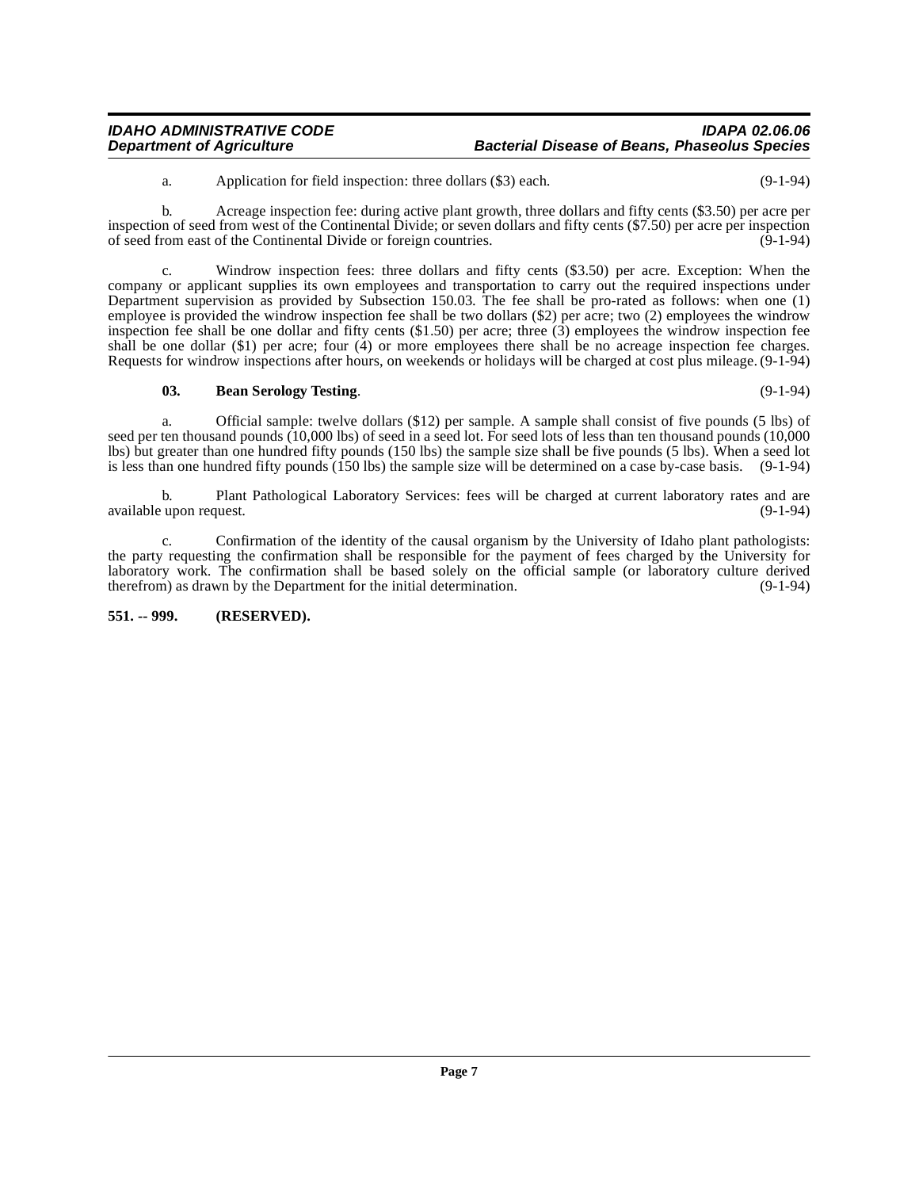| <b>IDAHO ADMINISTRATIVE CODE</b> | IDAPA 02.06.06                                       |
|----------------------------------|------------------------------------------------------|
| <b>Department of Agriculture</b> | <b>Bacterial Disease of Beans, Phaseolus Species</b> |

a. Application for field inspection: three dollars (\$3) each. (9-1-94)

b. Acreage inspection fee: during active plant growth, three dollars and fifty cents (\$3.50) per acre per inspection of seed from west of the Continental Divide; or seven dollars and fifty cents (\$7.50) per acre per inspection of seed from east of the Continental Divide or foreign countries. (9-1-94)

c. Windrow inspection fees: three dollars and fifty cents (\$3.50) per acre. Exception: When the company or applicant supplies its own employees and transportation to carry out the required inspections under Department supervision as provided by Subsection 150.03. The fee shall be pro-rated as follows: when one (1) employee is provided the windrow inspection fee shall be two dollars (\$2) per acre; two (2) employees the windrow inspection fee shall be one dollar and fifty cents  $(\$1.50)$  per acre; three  $(\$)$  employees the windrow inspection fee shall be one dollar (\$1) per acre; four (4) or more employees there shall be no acreage inspection fee charges. Requests for windrow inspections after hours, on weekends or holidays will be charged at cost plus mileage. (9-1-94)

#### <span id="page-6-1"></span>**03. Bean Serology Testing**. (9-1-94)

a. Official sample: twelve dollars (\$12) per sample. A sample shall consist of five pounds (5 lbs) of seed per ten thousand pounds (10,000 lbs) of seed in a seed lot. For seed lots of less than ten thousand pounds (10,000 lbs) but greater than one hundred fifty pounds (150 lbs) the sample size shall be five pounds (5 lbs). When a seed lot is less than one hundred fifty pounds (150 lbs) the sample size will be determined on a case by-case basis. (9-1-94)

b. Plant Pathological Laboratory Services: fees will be charged at current laboratory rates and are upon request. (9-1-94) available upon request.

c. Confirmation of the identity of the causal organism by the University of Idaho plant pathologists: the party requesting the confirmation shall be responsible for the payment of fees charged by the University for laboratory work. The confirmation shall be based solely on the official sample (or laboratory culture derived therefrom) as drawn by the Department for the initial determination. (9-1-94) therefrom) as drawn by the Department for the initial determination.

#### <span id="page-6-0"></span>**551. -- 999. (RESERVED).**